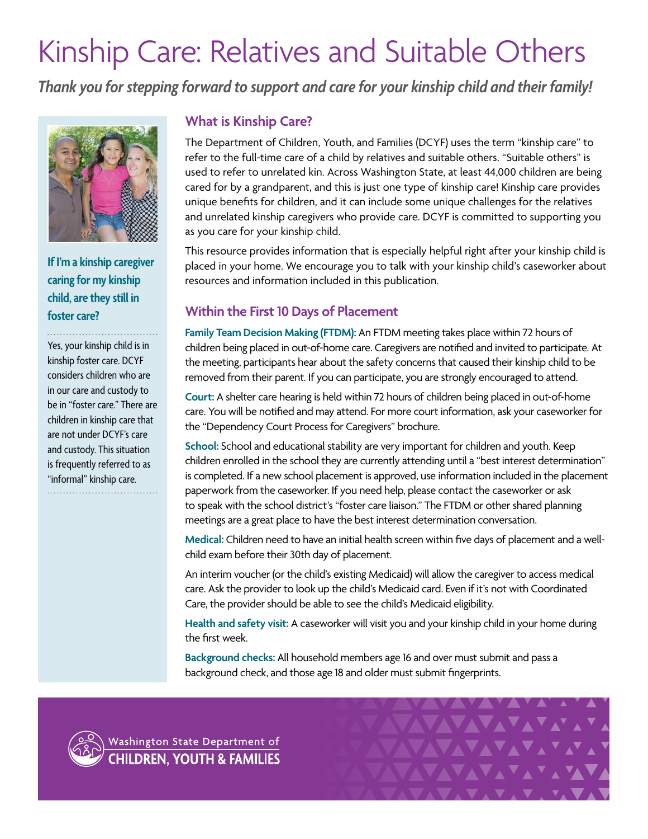# Kinship Care: Relatives and Suitable Others

*Thank you for stepping forward to support and care for your kinship child and their family!*



**If I'm a kinship caregiver caring for my kinship child, are they still in foster care?**

Yes, your kinship child is in kinship foster care. DCYF considers children who are in our care and custody to be in "foster care." There are children in kinship care that are not under DCYF's care and custody. This situation is frequently referred to as "informal" kinship care. 

# **What is Kinship Care?**

The Department of Children, Youth, and Families (DCYF) uses the term "kinship care" to refer to the full-time care of a child by relatives and suitable others. "Suitable others" is used to refer to unrelated kin. Across Washington State, at least 44,000 children are being cared for by a grandparent, and this is just one type of kinship care! Kinship care provides unique benefits for children, and it can include some unique challenges for the relatives and unrelated kinship caregivers who provide care. DCYF is committed to supporting you as you care for your kinship child.

This resource provides information that is especially helpful right after your kinship child is placed in your home. We encourage you to talk with your kinship child's caseworker about resources and information included in this publication.

# **Within the First 10 Days of Placement**

**Family Team Decision Making (FTDM):** An FTDM meeting takes place within 72 hours of children being placed in out-of-home care. Caregivers are notified and invited to participate. At the meeting, participants hear about the safety concerns that caused their kinship child to be removed from their parent. If you can participate, you are strongly encouraged to attend.

**Court:** A shelter care hearing is held within 72 hours of children being placed in out-of-home care. You will be notified and may attend. For more court information, ask your caseworker for the "Dependency Court Process for Caregivers" brochure.

**School:** School and educational stability are very important for children and youth. Keep children enrolled in the school they are currently attending until a "best interest determination" is completed. If a new school placement is approved, use information included in the placement paperwork from the caseworker. If you need help, please contact the caseworker or ask to speak with the school district's "foster care liaison." The FTDM or other shared planning meetings are a great place to have the best interest determination conversation.

**Medical:** Children need to have an initial health screen within five days of placement and a wellchild exam before their 30th day of placement.

An interim voucher (or the child's existing Medicaid) will allow the caregiver to access medical care. Ask the provider to look up the child's Medicaid card. Even if it's not with Coordinated Care, the provider should be able to see the child's Medicaid eligibility.

**Health and safety visit:** A caseworker will visit you and your kinship child in your home during the first week.

**Background checks:** All household members age 16 and over must submit and pass a background check, and those age 18 and older must submit fingerprints.



Washington State Department of **CHILDREN, YOUTH & FAMILIES** 

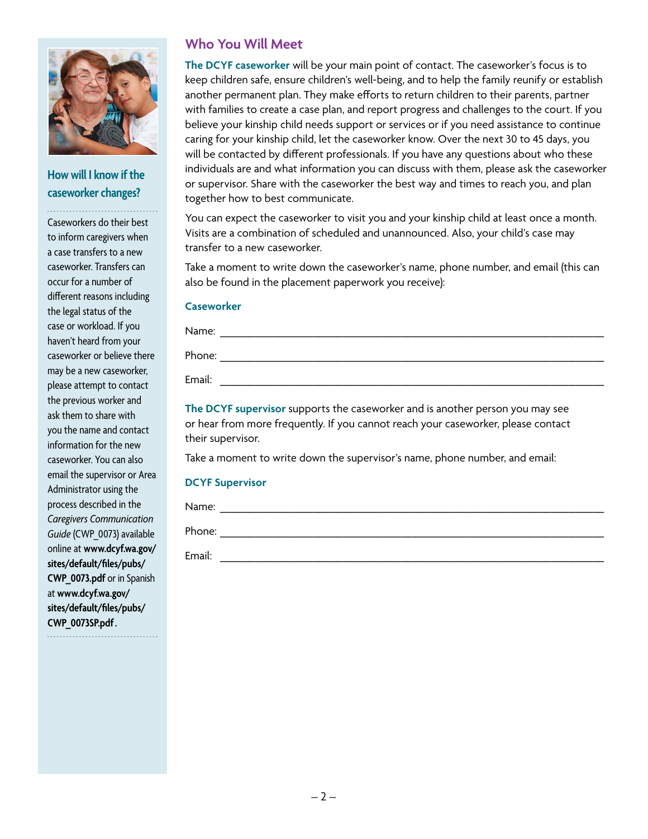

# **How will I know if the caseworker changes?**

. . . . . . . . . . . . . . . . . .

Caseworkers do their best to inform caregivers when a case transfers to a new caseworker. Transfers can occur for a number of different reasons including the legal status of the case or workload. If you haven't heard from your caseworker or believe there may be a new caseworker, please attempt to contact the previous worker and ask them to share with you the name and contact information for the new caseworker. You can also email the supervisor or Area Administrator using the process described in the *Caregivers Communication Guide* (CWP\_0073) available online at **[www.dcyf.wa.gov/](http://www.dcyf.wa.gov/sites/default/files/pubs/CWP_0073.pdf) [sites/default/files/pubs/](http://www.dcyf.wa.gov/sites/default/files/pubs/CWP_0073.pdf) [CWP\\_0073.pdf](http://www.dcyf.wa.gov/sites/default/files/pubs/CWP_0073.pdf)** or in Spanish at **[www.dcyf.wa.gov/](http://www.dcyf.wa.gov/sites/default/files/pubs/CWP_0073SP.pdf) [sites/default/files/pubs/](http://www.dcyf.wa.gov/sites/default/files/pubs/CWP_0073SP.pdf) [CWP\\_0073SP.pdf](http://www.dcyf.wa.gov/sites/default/files/pubs/CWP_0073SP.pdf).**

## **Who You Will Meet**

**The DCYF caseworker** will be your main point of contact. The caseworker's focus is to keep children safe, ensure children's well-being, and to help the family reunify or establish another permanent plan. They make efforts to return children to their parents, partner with families to create a case plan, and report progress and challenges to the court. If you believe your kinship child needs support or services or if you need assistance to continue caring for your kinship child, let the caseworker know. Over the next 30 to 45 days, you will be contacted by different professionals. If you have any questions about who these individuals are and what information you can discuss with them, please ask the caseworker or supervisor. Share with the caseworker the best way and times to reach you, and plan together how to best communicate.

You can expect the caseworker to visit you and your kinship child at least once a month. Visits are a combination of scheduled and unannounced. Also, your child's case may transfer to a new caseworker.

Take a moment to write down the caseworker's name, phone number, and email (this can also be found in the placement paperwork you receive):

#### **Caseworker**

| Name:  |  |
|--------|--|
| Phone: |  |
| Email: |  |

**The DCYF supervisor** supports the caseworker and is another person you may see or hear from more frequently. If you cannot reach your caseworker, please contact their supervisor.

Take a moment to write down the supervisor's name, phone number, and email:

#### **DCYF Supervisor**

| Name:  |  |
|--------|--|
| Phone: |  |
| Email: |  |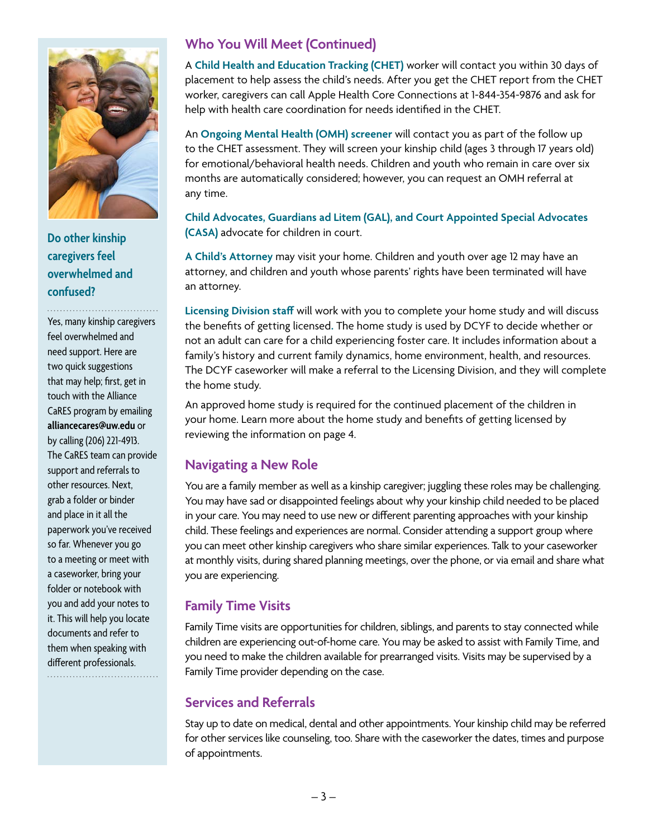

**Do other kinship caregivers feel overwhelmed and confused?** 

. . . . .

Yes, many kinship caregivers feel overwhelmed and need support. Here are two quick suggestions that may help; first, get in touch with the Alliance CaRES program by emailing **[alliancecares@uw.edu](mailto:alliancecares%40uw.edu?subject=)** or by calling (206) 221-4913. The CaRES team can provide support and referrals to other resources. Next, grab a folder or binder and place in it all the paperwork you've received so far. Whenever you go to a meeting or meet with a caseworker, bring your folder or notebook with you and add your notes to it. This will help you locate documents and refer to them when speaking with different professionals.

# **Who You Will Meet (Continued)**

A **Child Health and Education Tracking (CHET)** worker will contact you within 30 days of placement to help assess the child's needs. After you get the CHET report from the CHET worker, caregivers can call Apple Health Core Connections at 1-844-354-9876 and ask for help with health care coordination for needs identified in the CHET.

An **Ongoing Mental Health (OMH) screener** will contact you as part of the follow up to the CHET assessment. They will screen your kinship child (ages 3 through 17 years old) for emotional/behavioral health needs. Children and youth who remain in care over six months are automatically considered; however, you can request an OMH referral at any time.

**Child Advocates, Guardians ad Litem (GAL), and Court Appointed Special Advocates (CASA)** advocate for children in court.

**A Child's Attorney** may visit your home. Children and youth over age 12 may have an attorney, and children and youth whose parents' rights have been terminated will have an attorney.

**Licensing Division staff** will work with you to complete your home study and will discuss the benefits of getting licensed**.** The home study is used by DCYF to decide whether or not an adult can care for a child experiencing foster care. It includes information about a family's history and current family dynamics, home environment, health, and resources. The DCYF caseworker will make a referral to the Licensing Division, and they will complete the home study.

An approved home study is required for the continued placement of the children in your home. Learn more about the home study and benefits of getting licensed by reviewing the information on page 4.

### **Navigating a New Role**

You are a family member as well as a kinship caregiver; juggling these roles may be challenging. You may have sad or disappointed feelings about why your kinship child needed to be placed in your care. You may need to use new or different parenting approaches with your kinship child. These feelings and experiences are normal. Consider attending a support group where you can meet other kinship caregivers who share similar experiences. Talk to your caseworker at monthly visits, during shared planning meetings, over the phone, or via email and share what you are experiencing.

# **Family Time Visits**

Family Time visits are opportunities for children, siblings, and parents to stay connected while children are experiencing out-of-home care. You may be asked to assist with Family Time, and you need to make the children available for prearranged visits. Visits may be supervised by a Family Time provider depending on the case.

### **Services and Referrals**

Stay up to date on medical, dental and other appointments. Your kinship child may be referred for other services like counseling, too. Share with the caseworker the dates, times and purpose of appointments.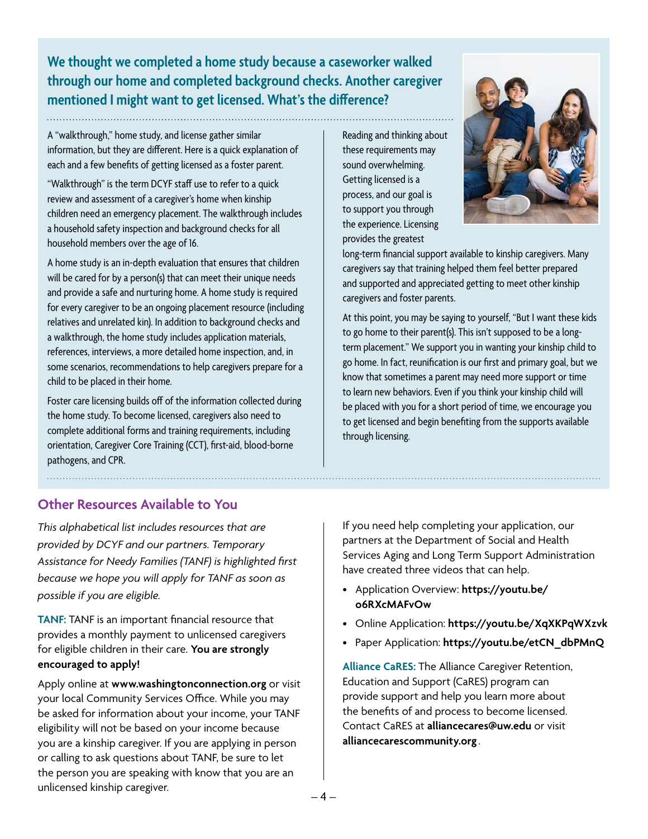**We thought we completed a home study because a caseworker walked through our home and completed background checks. Another caregiver mentioned I might want to get licensed. What's the difference?**

A "walkthrough," home study, and license gather similar information, but they are different. Here is a quick explanation of each and a few benefits of getting licensed as a foster parent.

"Walkthrough" is the term DCYF staff use to refer to a quick review and assessment of a caregiver's home when kinship children need an emergency placement. The walkthrough includes a household safety inspection and background checks for all household members over the age of 16.

A home study is an in-depth evaluation that ensures that children will be cared for by a person(s) that can meet their unique needs and provide a safe and nurturing home. A home study is required for every caregiver to be an ongoing placement resource (including relatives and unrelated kin). In addition to background checks and a walkthrough, the home study includes application materials, references, interviews, a more detailed home inspection, and, in some scenarios, recommendations to help caregivers prepare for a child to be placed in their home.

Foster care licensing builds off of the information collected during the home study. To become licensed, caregivers also need to complete additional forms and training requirements, including orientation, Caregiver Core Training (CCT), first-aid, blood-borne pathogens, and CPR.

Reading and thinking about these requirements may sound overwhelming. Getting licensed is a process, and our goal is to support you through the experience. Licensing provides the greatest



long-term financial support available to kinship caregivers. Many caregivers say that training helped them feel better prepared and supported and appreciated getting to meet other kinship caregivers and foster parents.

At this point, you may be saying to yourself, "But I want these kids to go home to their parent(s). This isn't supposed to be a longterm placement." We support you in wanting your kinship child to go home. In fact, reunification is our first and primary goal, but we know that sometimes a parent may need more support or time to learn new behaviors. Even if you think your kinship child will be placed with you for a short period of time, we encourage you to get licensed and begin benefiting from the supports available through licensing.

# **Other Resources Available to You**

*This alphabetical list includes resources that are provided by DCYF and our partners. Temporary Assistance for Needy Families (TANF) is highlighted first because we hope you will apply for TANF as soon as possible if you are eligible.*

**TANF:** TANF is an important financial resource that provides a monthly payment to unlicensed caregivers for eligible children in their care. **You are strongly encouraged to apply!** 

Apply online at **[www.washingtonconnection.org](http://www.washingtonconnection.org)** or visit your local Community Services Office. While you may be asked for information about your income, your TANF eligibility will not be based on your income because you are a kinship caregiver. If you are applying in person or calling to ask questions about TANF, be sure to let the person you are speaking with know that you are an unlicensed kinship caregiver.

If you need help completing your application, our partners at the Department of Social and Health Services Aging and Long Term Support Administration have created three videos that can help.

- Application Overview: **[https://youtu.be/](https://youtu.be/o6RXcMAFvOw) [o6RXcMAFvOw](https://youtu.be/o6RXcMAFvOw)**
- Online Application: **<https://youtu.be/XqXKPqWXzvk>**
- Paper Application: **[https://youtu.be/etCN\\_dbPMnQ](https://youtu.be/etCN_dbPMnQ)**

**Alliance CaRES:** The Alliance Caregiver Retention, Education and Support (CaRES) program can provide support and help you learn more about the benefits of and process to become licensed. Contact CaRES at **[alliancecares@uw.edu](mailto:alliancecares%40uw.edu?subject=)** or visit **[alliancecarescommunity.org](http://alliancecarescommunity.org)** .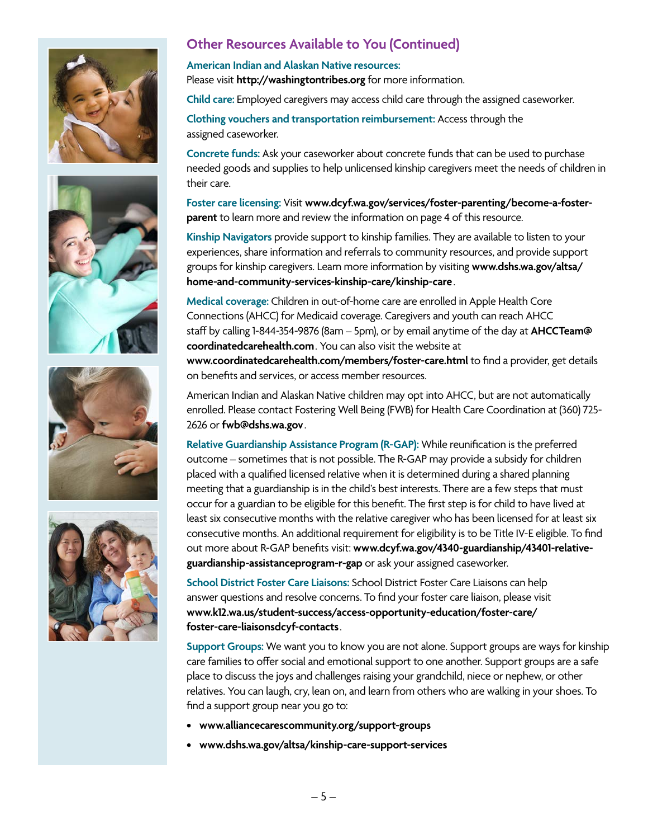







# **Other Resources Available to You (Continued)**

#### **American Indian and Alaskan Native resources:**  Please visit **<http://washingtontribes.org>** for more information.

**Child care:** Employed caregivers may access child care through the assigned caseworker.

**Clothing vouchers and transportation reimbursement:** Access through the assigned caseworker.

**Concrete funds:** Ask your caseworker about concrete funds that can be used to purchase needed goods and supplies to help unlicensed kinship caregivers meet the needs of children in their care.

**Foster care licensing:** Visit **[www.dcyf.wa.gov/services/foster-parenting/become-a-foster](http://www.dcyf.wa.gov/services/foster-parenting/become-a-foster-parent)[parent](http://www.dcyf.wa.gov/services/foster-parenting/become-a-foster-parent)** to learn more and review the information on page 4 of this resource.

**Kinship Navigators** provide support to kinship families. They are available to listen to your experiences, share information and referrals to community resources, and provide support groups for kinship caregivers. Learn more information by visiting **[www.dshs.wa.gov/altsa/](http://www.dshs.wa.gov/altsa/home-and-community-services-kinship-care/kinship-care) [home-and-community-services-kinship-care/kinship-care](http://www.dshs.wa.gov/altsa/home-and-community-services-kinship-care/kinship-care)**.

**Medical coverage:** Children in out-of-home care are enrolled in Apple Health Core Connections (AHCC) for Medicaid coverage. Caregivers and youth can reach AHCC staff by calling 1-844-354-9876 (8am – 5pm), or by email anytime of the day at **[AHCCTeam@](mailto:AHCCTeam%40coordinatedcarehealth.com?subject=) [coordinatedcarehealth.com](mailto:AHCCTeam%40coordinatedcarehealth.com?subject=)**. You can also visit the website at

**[www.coordinatedcarehealth.com/members/foster-care.html](http://www.coordinatedcarehealth.com/members/foster-care.html)** to find a provider, get details on benefits and services, or access member resources.

American Indian and Alaskan Native children may opt into AHCC, but are not automatically enrolled. Please contact Fostering Well Being (FWB) for Health Care Coordination at (360) 725- 2626 or **[fwb@dshs.wa.gov](mailto:fwb%40dshs.wa.gov?subject=)**.

**Relative Guardianship Assistance Program (R-GAP):** While reunification is the preferred outcome – sometimes that is not possible. The R-GAP may provide a subsidy for children placed with a qualified licensed relative when it is determined during a shared planning meeting that a guardianship is in the child's best interests. There are a few steps that must occur for a guardian to be eligible for this benefit. The first step is for child to have lived at least six consecutive months with the relative caregiver who has been licensed for at least six consecutive months. An additional requirement for eligibility is to be Title IV-E eligible. To find out more about R-GAP benefits visit: **[www.dcyf.wa.gov/4340-guardianship/43401-relative](http://www.dcyf.wa.gov/4340-guardianship/43401-relative-guardianship-assistanceprogram-r-gap)[guardianship-assistanceprogram-r-gap](http://www.dcyf.wa.gov/4340-guardianship/43401-relative-guardianship-assistanceprogram-r-gap)** or ask your assigned caseworker.

**School District Foster Care Liaisons:** School District Foster Care Liaisons can help answer questions and resolve concerns. To find your foster care liaison, please visit **[www.k12.wa.us/student-success/access-opportunity-education/foster-care/](http://www.k12.wa.us/student-success/access-opportunity-education/foster-care/foster-care-liaisonsdcyf-contacts) [foster-care-liaisonsdcyf-contacts](http://www.k12.wa.us/student-success/access-opportunity-education/foster-care/foster-care-liaisonsdcyf-contacts)**.

**Support Groups:** We want you to know you are not alone. Support groups are ways for kinship care families to offer social and emotional support to one another. Support groups are a safe place to discuss the joys and challenges raising your grandchild, niece or nephew, or other relatives. You can laugh, cry, lean on, and learn from others who are walking in your shoes. To find a support group near you go to:

- **• [www.alliancecarescommunity.org/support-groups](http://www.alliancecarescommunity.org/support-groups)**
- **• [www.dshs.wa.gov/altsa/kinship-care-support-services](http://www.dshs.wa.gov/altsa/kinship-care-support-services)**